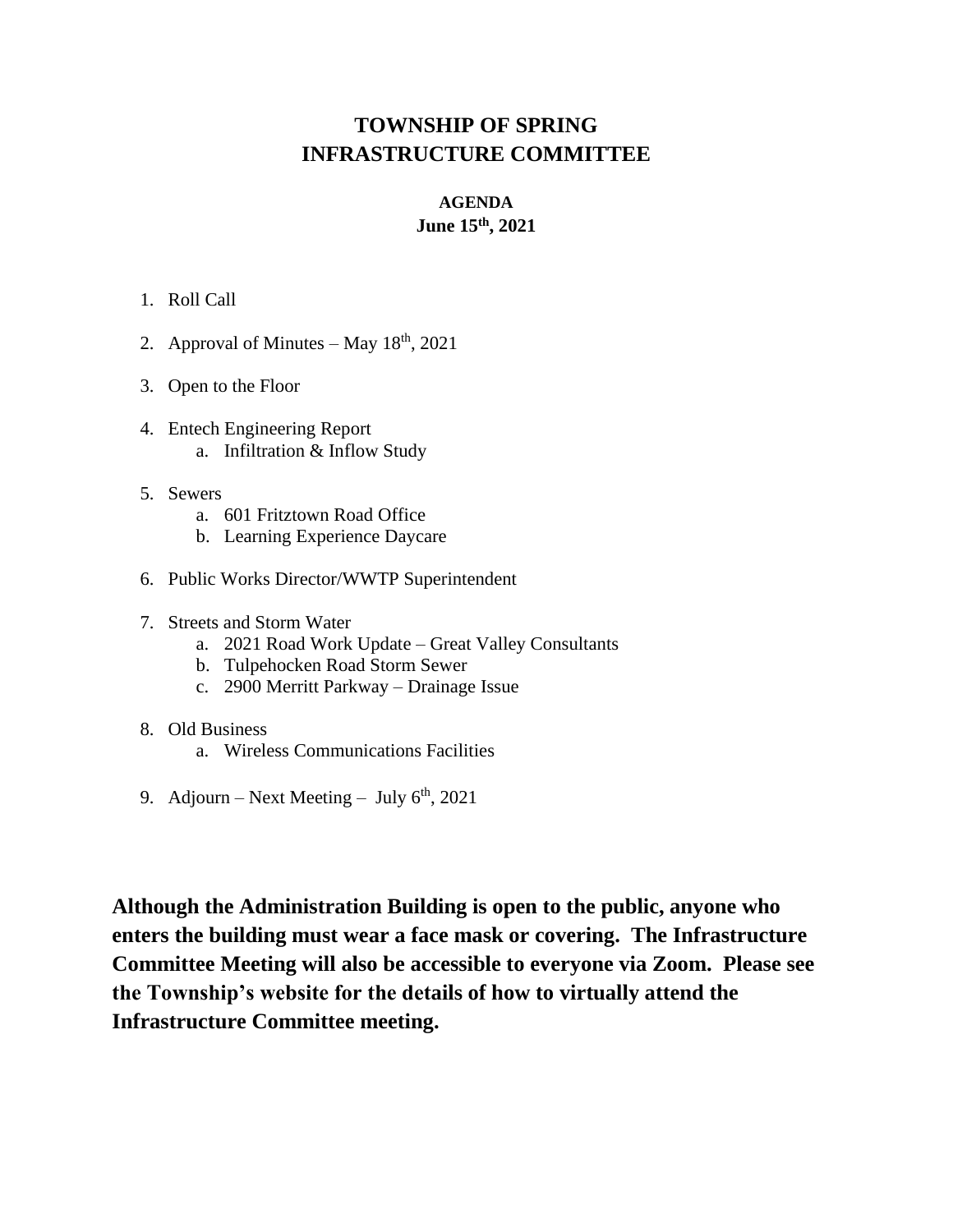## **TOWNSHIP OF SPRING INFRASTRUCTURE COMMITTEE**

# **AGENDA**

## **June 15th, 2021**

#### 1. Roll Call

- 2. Approval of Minutes May  $18<sup>th</sup>$ , 2021
- 3. Open to the Floor
- 4. Entech Engineering Report a. Infiltration & Inflow Study
- 5. Sewers
	- a. 601 Fritztown Road Office
	- b. Learning Experience Daycare
- 6. Public Works Director/WWTP Superintendent
- 7. Streets and Storm Water
	- a. 2021 Road Work Update Great Valley Consultants
	- b. Tulpehocken Road Storm Sewer
	- c. 2900 Merritt Parkway Drainage Issue
- 8. Old Business
	- a. Wireless Communications Facilities
- 9. Adjourn Next Meeting July  $6<sup>th</sup>$ , 2021

**Although the Administration Building is open to the public, anyone who enters the building must wear a face mask or covering. The Infrastructure Committee Meeting will also be accessible to everyone via Zoom. Please see the Township's website for the details of how to virtually attend the Infrastructure Committee meeting.**